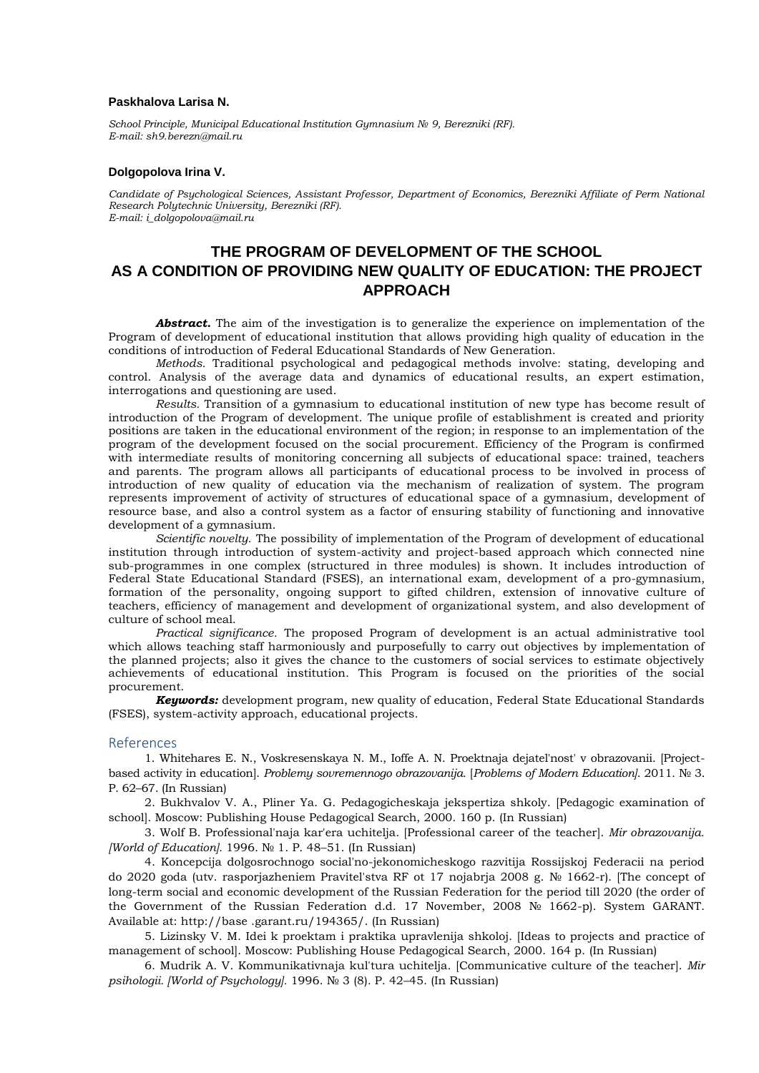## **Paskhalova Larisa N.**

*School Principle, Municipal Educational Institution Gymnasium № 9, Berezniki (RF). Е-mail: sh9.berezn@mail.ru*

## **Dolgopolova Irina V.**

*Сandidate of Psychological Sciences, Assistant Professor, Department of Economics, Berezniki Affiliate of Perm National Research Polytechnic University, Berezniki (RF). Е-mail: i\_dolgopolova@mail.ru*

## **THE PROGRAM OF DEVELOPMENT OF THE SCHOOL AS A CONDITION OF PROVIDING NEW QUALITY OF EDUCATION: THE PROJECT APPROACH**

Abstract. The aim of the investigation is to generalize the experience on implementation of the Program of development of educational institution that allows providing high quality of education in the conditions of introduction of Federal Educational Standards of New Generation.

*Methods.* Traditional psychological and pedagogical methods involve: stating, developing and control. Analysis of the average data and dynamics of educational results, an expert estimation, interrogations and questioning are used.

*Results.* Transition of a gymnasium to educational institution of new type has become result of introduction of the Program of development. The unique profile of establishment is created and priority positions are taken in the educational environment of the region; in response to an implementation of the program of the development focused on the social procurement. Efficiency of the Program is confirmed with intermediate results of monitoring concerning all subjects of educational space: trained, teachers and parents. The program allows all participants of educational process to be involved in process of introduction of new quality of education via the mechanism of realization of system. The program represents improvement of activity of structures of educational space of a gymnasium, development of resource base, and also a control system as a factor of ensuring stability of functioning and innovative development of a gymnasium.

*Scientific novelty.* The possibility of implementation of the Program of development of educational institution through introduction of system-activity and project-based approach which connected nine sub-programmes in one complex (structured in three modules) is shown. It includes introduction of Federal State Educational Standard (FSES), an international exam, development of a pro-gymnasium, formation of the personality, ongoing support to gifted children, extension of innovative culture of teachers, efficiency of management and development of organizational system, and also development of culture of school meal.

*Practical significance.* The proposed Program of development is an actual administrative tool which allows teaching staff harmoniously and purposefully to carry out objectives by implementation of the planned projects; also it gives the chance to the customers of social services to estimate objectively achievements of educational institution. This Program is focused on the priorities of the social procurement.

*Keywords:* development program, new quality of education, Federal State Educational Standards (FSES), system-activity approach, educational projects.

## References

1. Whitehares E. N., Voskresenskaya N. M., Ioffe A. N. Proektnaja dejatel'nost' v obrazovanii. [Projectbased activity in education]. *Problemy sovremennogo obrazovanija.* [*Problems of Modern Education]*. 2011. № 3. P. 62–67. (In Russian)

2. Bukhvalov V. A., Pliner Ya. G. Pedagogicheskaja jekspertiza shkoly. [Pedagogic examination of school]. Moscow: Publishing House Pedagogical Search, 2000. 160 p. (In Russian)

3. Wolf B. Professional'naja kar'era uchitelja. [Professional career of the teacher]. *Mir obrazovanija. [World of Education].* 1996. № 1. P. 48–51. (In Russian)

4. Koncepcija dolgosrochnogo social'no-jekonomicheskogo razvitija Rossijskoj Federacii na period do 2020 goda (utv. rasporjazheniem Pravitel'stva RF ot 17 nojabrja 2008 g. № 1662-r). [The concept of long-term social and economic development of the Russian Federation for the period till 2020 (the order of the Government of the Russian Federation d.d. 17 November, 2008 № 1662-p). System GARANT. Available at: http://base .garant.ru/194365/. (In Russian)

5. Lizinsky V. M. Idei k proektam i praktika upravlenija shkoloj. [Ideas to projects and practice of management of school]. Moscow: Publishing House Pedagogical Search, 2000. 164 p. (In Russian)

6. Mudrik A. V. Kommunikativnaja kul'tura uchitelja. [Communicative culture of the teacher]. *Mir psihologii. [World of Psychology].* 1996. № 3 (8). P. 42–45. (In Russian)